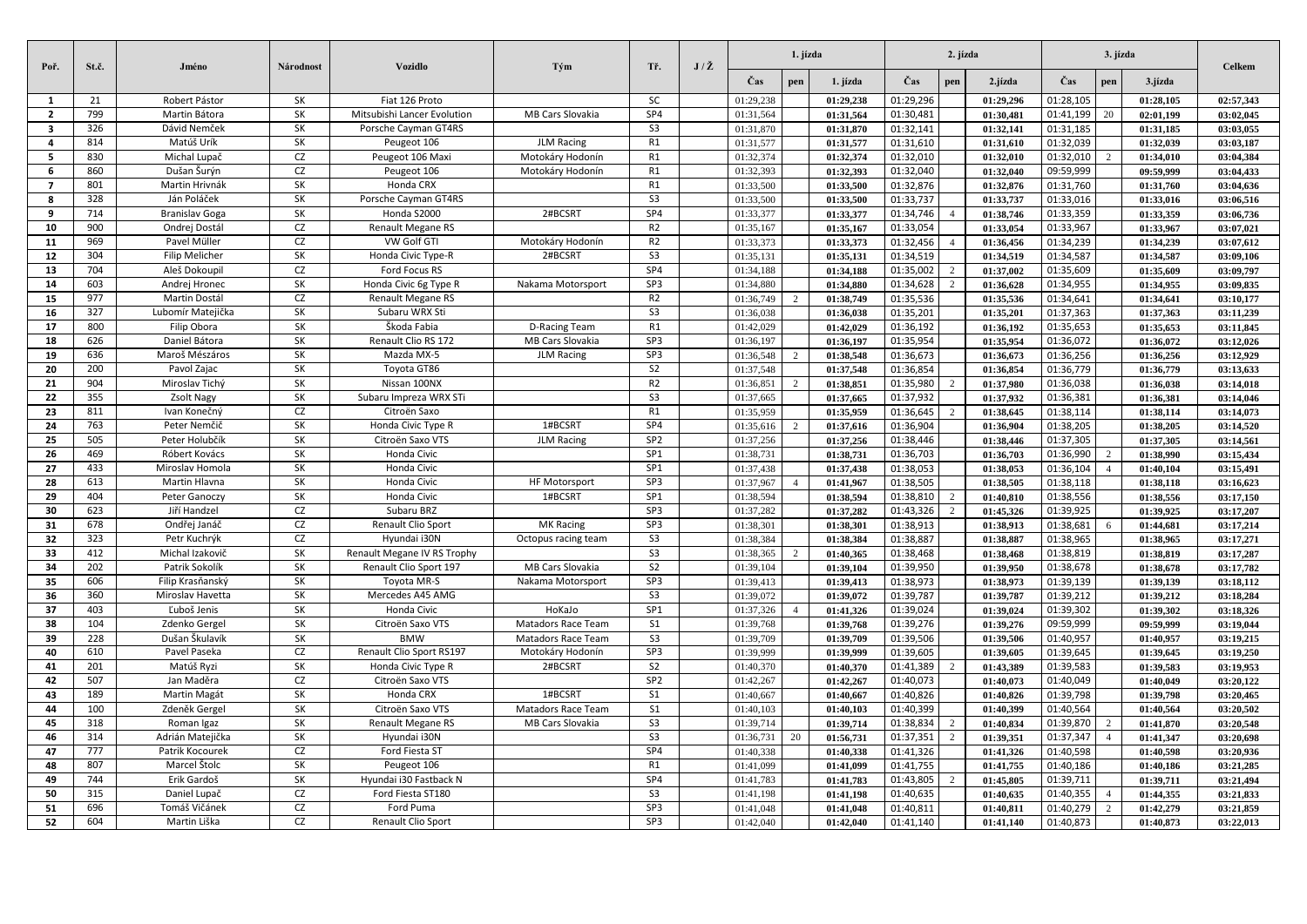| Poř.           | St.č.      | Jméno                        | Národnost | <b>Vozidlo</b>                         | Tým                  | Tř.                                        | $J/\check{Z}$ | 1. jízda               |                |                        |                        | 2. jízda       | 3. jízda               |                        |                | <b>Celkem</b>          |                        |
|----------------|------------|------------------------------|-----------|----------------------------------------|----------------------|--------------------------------------------|---------------|------------------------|----------------|------------------------|------------------------|----------------|------------------------|------------------------|----------------|------------------------|------------------------|
|                |            |                              |           |                                        |                      |                                            |               | Čas                    | pen            | 1. jízda               | Čas                    | pen            | 2.jízda                | Čas                    | pen            | 3.jízda                |                        |
| $\mathbf{1}$   | 21         | Robert Pástor                | <b>SK</b> | Fiat 126 Proto                         |                      | <b>SC</b>                                  |               | 01:29,238              |                | 01:29.238              | 01:29,296              |                | 01:29.296              | 01:28,105              |                | 01:28.105              | 02:57.343              |
| $\overline{2}$ | 799        | Martin Bátora                | SK        | Mitsubishi Lancer Evolution            | MB Cars Slovakia     | SP4                                        |               | 01:31,564              |                | 01:31,564              | 01:30,481              |                | 01:30,481              | 01:41,199              | 20             | 02:01,199              | 03:02,045              |
| 3              | 326        | Dávid Nemček                 | SK        | Porsche Cayman GT4RS                   |                      | S <sub>3</sub>                             |               | 01:31,870              |                | 01:31,870              | 01:32,141              |                | 01:32,141              | 01:31,185              |                | 01:31.185              | 03:03.055              |
| $\overline{a}$ | 814        | Matúš Urík                   | SK        | Peugeot 106                            | <b>JLM Racing</b>    | R1                                         |               | 01:31,577              |                | 01:31,577              | 01:31,610              |                | 01:31,610              | 01:32,039              |                | 01:32,039              | 03:03,187              |
| 5              | 830        | Michal Lupač                 | CZ        | Peugeot 106 Maxi                       | Motokáry Hodonín     | R1                                         |               | 01:32,374              |                | 01:32,374              | 01:32,010              |                | 01:32,010              | 01:32,010              | $\overline{2}$ | 01:34,010              | 03:04,384              |
| 6              | 860        | Dušan Šurýn                  | CZ        | Peugeot 106                            | Motokáry Hodonín     | R1                                         |               | 01:32,393              |                | 01:32,393              | 01:32,040              |                | 01:32,040              | 09:59,999              |                | 09:59,999              | 03:04,433              |
| $\overline{7}$ | 801        | Martin Hrivnák               | SK        | Honda CRX                              |                      | R1                                         |               | 01:33,500              |                | 01:33,500              | 01:32,876              |                | 01:32,876              | 01:31,760              |                | 01:31,760              | 03:04,636              |
| 8              | 328        | Ján Poláček                  | SK        | Porsche Cayman GT4RS                   |                      | S <sub>3</sub>                             |               | 01:33,500              |                | 01:33,500              | 01:33,737              |                | 01:33,737              | 01:33,016              |                | 01:33,016              | 03:06,516              |
| q              | 714        | <b>Branislav Goga</b>        | SK        | Honda S2000                            | 2#BCSRT              | SP <sub>4</sub>                            |               | 01:33,377              |                | 01:33,377              | 01:34,746              | $\overline{4}$ | 01:38,746              | 01:33,359              |                | 01:33,359              | 03:06,736              |
| 10             | 900        | Ondrej Dostál                | CZ        | Renault Megane RS                      |                      | R <sub>2</sub>                             |               | 01:35,167              |                | 01:35,167              | 01:33,054              |                | 01:33,054              | 01:33,967              |                | 01:33,967              | 03:07,021              |
| 11             | 969        | Pavel Müller                 | CZ        | VW Golf GTI                            | Motokáry Hodonín     | R <sub>2</sub>                             |               | 01:33,373              |                | 01:33,373              | 01:32,456              | $\overline{4}$ | 01:36.456              | 01:34,239              |                | 01:34.239              | 03:07.612              |
| 12             | 304        | <b>Filip Melicher</b>        | SK        | Honda Civic Type-R                     | 2#BCSRT              | $\overline{\mathsf{S3}}$                   |               | 01:35.131              |                | 01:35,131              | 01:34,519              |                | 01:34.519              | 01:34,587              |                | 01:34.587              | 03:09.106              |
| 13             | 704        | Aleš Dokoupil                | CZ        | Ford Focus RS                          |                      | SP4                                        |               | 01:34,188              |                | 01:34.188              | 01:35,002              | 2              | 01:37.002              | 01:35,609              |                | 01:35.609              | 03:09.797              |
| 14             | 603        | Andrej Hronec                | SK        | Honda Civic 6g Type R                  | Nakama Motorsport    | SP3                                        |               | 01:34,880              |                | 01:34,880              | 01:34,628              | 2              | 01:36,628              | 01:34,955              |                | 01:34.955              | 03:09,835              |
| 15             | 977        | Martin Dostál                | CZ        | <b>Renault Megane RS</b>               |                      | R <sub>2</sub>                             |               | 01:36,749              | $\mathcal{D}$  | 01:38,749              | 01:35,536              |                | 01:35,536              | 01:34,641              |                | 01:34.641              | 03:10.177              |
| 16             | 327        | Lubomír Matejička            | SK        | Subaru WRX Sti                         |                      | S <sub>3</sub>                             |               | 01:36,038              |                | 01:36,038              | 01:35,201              |                | 01:35.201              | 01:37,363              |                | 01:37,363              | 03:11.239              |
| 17             | 800        | Filip Obora                  | SK        | Škoda Fabia                            | D-Racing Team        | R1<br>SP3                                  |               | 01:42,029              |                | 01:42,029              | 01:36,192              |                | 01:36,192              | 01:35,653              |                | 01:35,653              | 03:11,845              |
| 18             | 626        | Daniel Bátora                | SK        | Renault Clio RS 172                    | MB Cars Slovakia     |                                            |               | 01:36,197              |                | 01:36,197              | 01:35,954              |                | 01:35,954              | 01:36,072              |                | 01:36,072              | 03:12,026              |
| 19             | 636        | Maroš Mészáros               | SK        | Mazda MX-5                             | <b>JLM Racing</b>    | SP3                                        |               | 01:36,548              | $\overline{c}$ | 01:38,548              | 01:36,673              |                | 01:36,673              | 01:36,256              |                | 01:36,256              | 03:12,929              |
| 20             | 200        | Pavol Zajac                  | SK        | Toyota GT86                            |                      | S <sub>2</sub>                             |               | 01:37,548              |                | 01:37,548              | 01:36,854              |                | 01:36,854              | 01:36,779              |                | 01:36,779              | 03:13,633              |
| 21             | 904        | Miroslav Tichý               | SK<br>SK  | Nissan 100NX                           |                      | R <sub>2</sub><br>$\overline{\mathsf{S3}}$ |               | 01:36,851              | $\overline{2}$ | 01:38,851              | 01:35,980              | 2              | 01:37,980              | 01:36,038              |                | 01:36,038              | 03:14,018              |
| 22<br>23       | 355<br>811 | Zsolt Nagy                   | CZ        | Subaru Impreza WRX STi<br>Citroën Saxo |                      | R1                                         |               | 01:37,665              |                | 01:37,665              | 01:37,932              | $\overline{2}$ | 01:37,932              | 01:36,381              |                | 01:36,381              | 03:14,046              |
| 24             | 763        | Ivan Konečný<br>Peter Nemčič | SK        | Honda Civic Type R                     | 1#BCSRT              | SP <sub>4</sub>                            |               | 01:35,959              | $\overline{2}$ | 01:35,959              | 01:36,645<br>01:36,904 |                | 01:38,645              | 01:38,114              |                | 01:38,114<br>01:38.205 | 03:14,073              |
| 25             | 505        | Peter Holubčík               | <b>SK</b> | Citroën Saxo VTS                       | <b>JLM Racing</b>    | SP <sub>2</sub>                            |               | 01:35,616<br>01:37,256 |                | 01:37,616<br>01:37.256 | 01:38,446              |                | 01:36,904<br>01:38.446 | 01:38,205<br>01:37,305 |                | 01:37.305              | 03:14,520<br>03:14.561 |
| 26             | 469        | Róbert Kovács                | SK        | Honda Civic                            |                      | SP <sub>1</sub>                            |               | 01:38,731              |                | 01:38,731              | 01:36,703              |                | 01:36,703              | 01:36,990              | $\mathcal{D}$  | 01:38.990              | 03:15,434              |
| 27             | 433        | Miroslav Homola              | SK        | Honda Civic                            |                      | SP <sub>1</sub>                            |               | 01:37,438              |                | 01:37,438              | 01:38,053              |                | 01:38,053              | 01:36,104              |                | 01:40,104              | 03:15,491              |
| 28             | 613        | Martin Hlavna                | SK        | Honda Civic                            | <b>HF Motorsport</b> | SP3                                        |               | 01:37,967              | $\overline{4}$ | 01:41.967              | 01:38,505              |                | 01:38.505              | 01:38,118              |                | 01:38.118              | 03:16.623              |
| 29             | 404        | Peter Ganoczy                | SK        | Honda Civic                            | 1#BCSRT              | SP <sub>1</sub>                            |               | 01:38,594              |                | 01:38,594              | 01:38,810              | 2              | 01:40,810              | 01:38,556              |                | 01:38.556              | 03:17,150              |
| 30             | 623        | Jiří Handzel                 | CZ        | Subaru BRZ                             |                      | SP3                                        |               | 01:37,282              |                | 01:37,282              | 01:43,326              | $\overline{2}$ | 01:45,326              | 01:39,925              |                | 01:39,925              | 03:17,207              |
| 31             | 678        | Ondřej Janáč                 | CZ        | Renault Clio Sport                     | <b>MK Racing</b>     | SP3                                        |               | 01:38,301              |                | 01:38.301              | 01:38,913              |                | 01:38.913              | 01:38,681              |                | 01:44.681              | 03:17.214              |
| 32             | 323        | Petr Kuchrýk                 | CZ        | Hyundai i30N                           | Octopus racing team  | S <sub>3</sub>                             |               | 01:38,384              |                | 01:38,384              | 01:38,887              |                | 01:38,887              | 01:38,965              |                | 01:38,965              | 03:17,271              |
| 33             | 412        | Michal Izakovič              | SK        | Renault Megane IV RS Trophy            |                      | S <sub>3</sub>                             |               | 01:38,365              | $\overline{2}$ | 01:40,365              | 01:38,468              |                | 01:38,468              | 01:38,819              |                | 01:38,819              | 03:17,287              |
| 34             | 202        | Patrik Sokolík               | SK        | Renault Clio Sport 197                 | MB Cars Slovakia     | S <sub>2</sub>                             |               | 01:39,104              |                | 01:39,104              | 01:39,950              |                | 01:39.950              | 01:38,678              |                | 01:38.678              | 03:17.782              |
| 35             | 606        | Filip Krasňanský             | SK        | Toyota MR-S                            | Nakama Motorsport    | SP3                                        |               | 01:39,413              |                | 01:39,413              | 01:38,973              |                | 01:38,973              | 01:39,139              |                | 01:39,139              | 03:18,112              |
| 36             | 360        | Miroslav Havetta             | SK        | Mercedes A45 AMG                       |                      | S <sub>3</sub>                             |               | 01:39,072              |                | 01:39,072              | 01:39,787              |                | 01:39,787              | 01:39,212              |                | 01:39,212              | 03:18,284              |
| 37             | 403        | Ľuboš Jenis                  | SK        | Honda Civic                            | HoKaJo               | SP1                                        |               | 01:37,326              | $\overline{4}$ | 01:41,326              | 01:39,024              |                | 01:39,024              | 01:39,302              |                | 01:39,302              | 03:18,326              |
| 38             | 104        | Zdenko Gergel                | SK        | Citroën Saxo VTS                       | Matadors Race Team   | S <sub>1</sub>                             |               | 01:39,768              |                | 01:39,768              | 01:39,276              |                | 01:39,276              | 09:59,999              |                | 09:59.999              | 03:19.044              |
| 39             | 228        | Dušan Škulavík               | SK        | <b>BMW</b>                             | Matadors Race Team   | S <sub>3</sub>                             |               | 01:39,709              |                | 01:39,709              | 01:39,506              |                | 01:39.506              | 01:40,957              |                | 01:40,957              | 03:19,215              |
| 40             | 610        | Pavel Paseka                 | CZ        | Renault Clio Sport RS197               | Motokáry Hodonín     | SP3                                        |               | 01:39,999              |                | 01:39,999              | 01:39,605              |                | 01:39.605              | 01:39,645              |                | 01:39.645              | 03:19.250              |
| 41             | 201        | Matúš Ryzi                   | SK        | Honda Civic Type R                     | 2#BCSRT              | S <sub>2</sub>                             |               | 01:40,370              |                | 01:40,370              | 01:41,389              | 2              | 01:43,389              | 01:39,583              |                | 01:39,583              | 03:19,953              |
| 42             | 507        | Jan Maděra                   | CZ        | Citroën Saxo VTS                       |                      | SP <sub>2</sub>                            |               | 01:42,267              |                | 01:42,267              | 01:40,073              |                | 01:40,073              | 01:40,049              |                | 01:40,049              | 03:20.122              |
| 43             | 189        | Martin Magát                 | SK        | Honda CRX                              | 1#BCSRT              | S <sub>1</sub>                             |               | 01:40,667              |                | 01:40,667              | 01:40,826              |                | 01:40,826              | 01:39,798              |                | 01:39.798              | 03:20.465              |
| 44             | 100        | Zdeněk Gergel                | SK        | Citroën Saxo VTS                       | Matadors Race Team   | S <sub>1</sub>                             |               | 01:40,103              |                | 01:40,103              | 01:40,399              |                | 01:40,399              | 01:40,564              |                | 01:40,564              | 03:20,502              |
| 45             | 318        | Roman Igaz                   | SK        | Renault Megane RS                      | MB Cars Slovakia     | S <sub>3</sub>                             |               | 01:39,714              |                | 01:39,714              | 01:38,834              | 2              | 01:40,834              | 01:39,870              | $\overline{2}$ | 01:41,870              | 03:20,548              |
| 46             | 314        | Adrián Matejička             | SK        | Hyundai i30N                           |                      | S <sub>3</sub>                             |               | 01:36,731              | 20             | 01:56,731              | 01:37,351              | 2              | 01:39,351              | 01:37,347              | $\overline{4}$ | 01:41,347              | 03:20,698              |
| 47             | 777        | Patrik Kocourek              | CZ        | Ford Fiesta ST                         |                      | SP4                                        |               | 01:40,338              |                | 01:40,338              | 01:41,326              |                | 01:41,326              | 01:40,598              |                | 01:40,598              | 03:20,936              |
| 48             | 807        | Marcel Štolc                 | SK        | Peugeot 106                            |                      | R1                                         |               | 01:41,099              |                | 01:41,099              | 01:41,755              |                | 01:41,755              | 01:40,186              |                | 01:40,186              | 03:21,285              |
| 49             | 744        | Erik Gardoš                  | <b>SK</b> | Hyundai i30 Fastback N                 |                      | SP <sub>4</sub>                            |               | 01:41,783              |                | 01:41,783              | 01:43,805              | 2              | 01:45,805              | 01:39,711              |                | 01:39,711              | 03:21,494              |
| 50             | 315        | Daniel Lupač                 | CZ        | Ford Fiesta ST180                      |                      | S <sub>3</sub>                             |               | 01:41,198              |                | 01:41,198              | 01:40,635              |                | 01:40,635              | 01:40,355              |                | 01:44,355              | 03:21,833              |
| 51             | 696        | Tomáš Vičánek                | CZ        | Ford Puma                              |                      | SP3                                        |               | 01:41.048              |                | 01:41.048              | 01:40,811              |                | 01:40.811              | 01:40.279              |                | 01:42.279              | 03:21.859              |
| 52             | 604        | Martin Liška                 | CZ        | Renault Clio Sport                     |                      | SP3                                        |               | 01:42,040              |                | 01:42,040              | 01:41,140              |                | 01:41,140              | 01:40,873              |                | 01:40,873              | 03:22,013              |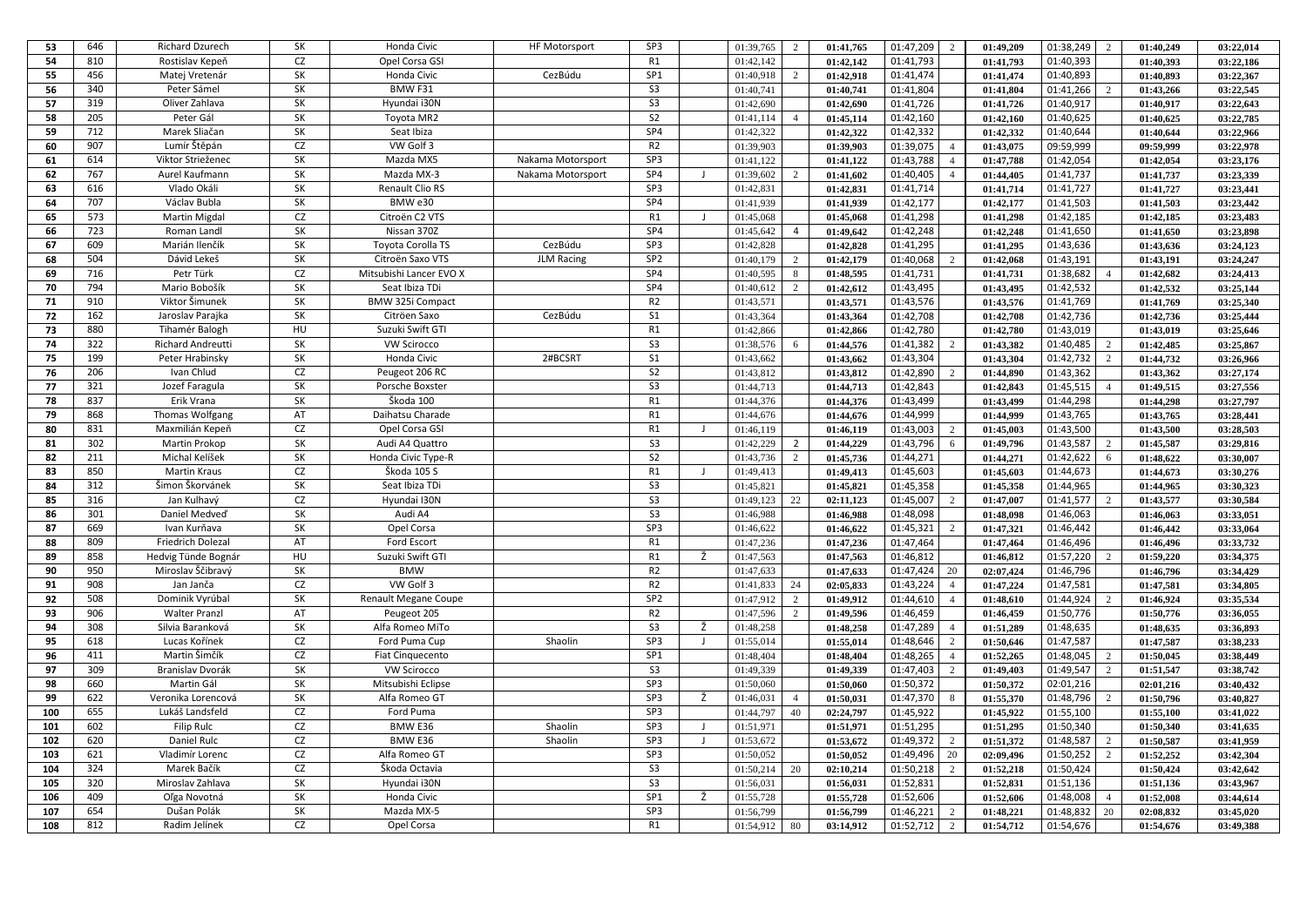| 53         | 646 | <b>Richard Dzurech</b>      | SK        | Honda Civic              | <b>HF Motorsport</b> | SP3             |                | 01:39,765              | 2              | 01:41,765              | 01:47,209 | 2                    | 01:49.209              | 01:38,249<br>2                      | 01:40,249              | 03:22.014              |
|------------|-----|-----------------------------|-----------|--------------------------|----------------------|-----------------|----------------|------------------------|----------------|------------------------|-----------|----------------------|------------------------|-------------------------------------|------------------------|------------------------|
| 54         | 810 | Rostislav Kepeň             | CZ        | Opel Corsa GSI           |                      | R1              |                | 01:42,142              |                | 01:42,142              | 01:41,793 |                      | 01:41,793              | 01:40,393                           | 01:40,393              | 03:22,186              |
| 55         | 456 | Matej Vretenár              | <b>SK</b> | Honda Civic              | CezBúdu              | SP1             |                | 01:40,918              | $\overline{2}$ | 01:42.918              | 01:41,474 |                      | 01:41.474              | 01:40,893                           | 01:40.893              | 03:22.367              |
| 56         | 340 | Peter Sámel                 | SK        | BMW F31                  |                      | S <sub>3</sub>  |                | 01:40,741              |                | 01:40,741              | 01:41,804 |                      | 01:41,804              | 01:41,266<br>2                      | 01:43,266              | 03:22,545              |
| 57         | 319 | Oliver Zahlava              | SK        | Hyundai i30N             |                      | S <sub>3</sub>  |                | 01:42,690              |                | 01:42,690              | 01:41,726 |                      | 01:41,726              | 01:40,917                           | 01:40,917              | 03:22,643              |
| 58         | 205 | Peter Gál                   | SK        | Toyota MR2               |                      | S <sub>2</sub>  |                | 01:41,114              | $\overline{4}$ | 01:45,114              | 01:42,160 |                      | 01:42,160              | 01:40,625                           | 01:40,625              | 03:22,785              |
| 59         | 712 | Marek Sliačan               | SK        | Seat Ibiza               |                      | SP4             |                | 01:42,322              |                | 01:42.322              | 01:42,332 |                      | 01:42.332              | 01:40,644                           | 01:40.644              | 03:22,966              |
| 60         | 907 | Lumír Štěpán                | CZ        | VW Golf 3                |                      | R <sub>2</sub>  |                | 01:39,903              |                | 01:39,903              | 01:39,075 | $\overline{4}$       | 01:43,075              | 09:59,999                           | 09:59,999              | 03:22,978              |
| 61         | 614 | Viktor Strieženec           | SK        | Mazda MX5                | Nakama Motorsport    | SP3             |                | 01:41,122              |                | 01:41,122              | 01:43,788 | $\overline{4}$       | 01:47.788              | 01:42,054                           | 01:42.054              | 03:23,176              |
| 62         | 767 | Aurel Kaufmann              | SK        | Mazda MX-3               | Nakama Motorsport    | SP4             | J.             | 01:39,602              | 2              | 01:41,602              | 01:40,405 | $\overline{4}$       | 01:44,405              | 01:41,737                           | 01:41,737              | 03:23,339              |
| 63         | 616 | Vlado Okáli                 | SK        | Renault Clio RS          |                      | SP3             |                | 01:42,831              |                | 01:42,831              | 01:41,714 |                      | 01:41,714              | 01:41,727                           | 01:41,727              | 03:23,441              |
| 64         | 707 | Václav Bubla                | <b>SK</b> | BMW e30                  |                      | SP4             |                | 01:41,939              |                | 01:41,939              | 01:42,177 |                      | 01:42.177              | 01:41,503                           | 01:41.503              | 03:23,442              |
| 65         | 573 | <b>Martin Migdal</b>        | CZ        | Citroën C2 VTS           |                      | R1              | $\mathsf{L}$   | 01:45,068              |                | 01:45,068              | 01:41,298 |                      | 01:41,298              | 01:42,185                           | 01:42,185              | 03:23,483              |
| 66         | 723 | Roman Landl                 | SK        | Nissan 370Z              |                      | SP4             |                | 01:45,642              | 4              | 01:49,642              | 01:42,248 |                      | 01:42,248              | 01:41,650                           | 01:41,650              | 03:23,898              |
| 67         | 609 | Marián Ilenčík              | SK        | <b>Toyota Corolla TS</b> | CezBúdu              | SP3             |                | 01:42,828              |                | 01:42,828              | 01:41,295 |                      | 01:41,295              | 01:43,636                           | 01:43.636              | 03:24,123              |
| 68         | 504 | Dávid Lekeš                 | SK        | Citroën Saxo VTS         | <b>JLM Racing</b>    | SP <sub>2</sub> |                | 01:40,179              | 2              | 01:42,179              | 01:40,068 | 2                    | 01:42,068              | 01:43,191                           | 01:43,191              | 03:24,247              |
| 69         | 716 | Petr Türk                   | CZ        | Mitsubishi Lancer EVO X  |                      | SP4             |                | 01:40,595              | 8              | 01:48,595              | 01:41,731 |                      | 01:41,731              | 01:38,682                           | 01:42,682              | 03:24,413              |
| 70         | 794 | Mario Bobošík               | SK        | Seat Ibiza TDi           |                      | SP4             |                | 01:40,612              | $\overline{c}$ | 01:42,612              | 01:43,495 |                      | 01:43.495              | 01:42,532                           | 01:42,532              | 03:25,144              |
| 71         | 910 | Viktor Šimunek              | SK        | <b>BMW 325i Compact</b>  |                      | R <sub>2</sub>  |                | 01:43,571              |                | 01:43,571              | 01:43,576 |                      | 01:43,576              | 01:41,769                           | 01:41,769              | 03:25,340              |
| 72         | 162 | Jaroslav Parajka            | <b>SK</b> | Citröen Saxo             | CezBúdu              | S <sub>1</sub>  |                | 01:43,364              |                | 01:43,364              | 01:42,708 |                      | 01:42,708              | 01:42,736                           | 01:42,736              | 03:25,444              |
| 73         | 880 | Tihamér Balogh              | HU        | Suzuki Swift GT          |                      | R1              |                | 01:42,866              |                | 01:42,866              | 01:42,780 |                      | 01:42,780              | 01:43,019                           | 01:43.019              | 03:25,646              |
| 74         | 322 | Richard Andreutti           | SK        | <b>VW Scirocco</b>       |                      | S <sub>3</sub>  |                | 01:38,576              | 6              | 01:44,576              | 01:41,382 | $\overline{2}$       | 01:43,382              | 01:40,485<br>2                      | 01:42,485              | 03:25,867              |
| 75         | 199 | Peter Hrabinsky             | SK        | Honda Civic              | 2#BCSRT              | S <sub>1</sub>  |                | 01:43,662              |                | 01:43,662              | 01:43,304 |                      | 01:43,304              | 01:42,732<br>$\overline{c}$         | 01:44,732              | 03:26,966              |
| 76         | 206 | Ivan Chlud                  | CZ        | Peugeot 206 RC           |                      | S <sub>2</sub>  |                | 01:43,812              |                | 01:43,812              | 01:42,890 | $\overline{2}$       | 01:44.890              | 01:43,362                           | 01:43,362              | 03:27,174              |
| 77         | 321 | Jozef Faragula              | SK        | Porsche Boxster          |                      | S <sub>3</sub>  |                | 01:44,713              |                | 01:44,713              | 01:42,843 |                      | 01:42,843              | 01:45,515<br>$\boldsymbol{\Lambda}$ | 01:49,515              | 03:27,556              |
| 78         | 837 | Erik Vrana                  | <b>SK</b> | Škoda 100                |                      | R1              |                | 01:44,376              |                | 01:44,376              | 01:43,499 |                      | 01:43,499              | 01:44,298                           | 01:44,298              | 03:27,797              |
| 79         | 868 | Thomas Wolfgang             | AT        | Daihatsu Charade         |                      | R1              |                | 01:44,676              |                | 01:44,676              | 01:44,999 |                      | 01:44.999              | 01:43,765                           | 01:43,765              | 03:28,441              |
| 80         | 831 | Maxmilián Kepeň             | CZ        | Opel Corsa GSI           |                      | R1              | J              | 01:46,119              |                | 01:46,119              | 01:43,003 | 2                    | 01:45,003              | 01:43,500                           | 01:43,500              | 03:28,503              |
| 81         | 302 | <b>Martin Prokop</b>        | SK        | Audi A4 Quattro          |                      | S <sub>3</sub>  |                | 01:42,229              | 2              | 01:44,229              | 01:43,796 | 6                    | 01:49,796              | 01:43,587<br>$\overline{2}$         | 01:45,587              | 03:29,816              |
| 82         | 211 | Michal Kelíšek              | SK        | Honda Civic Type-R       |                      | S <sub>2</sub>  |                | 01:43,736              | $\overline{2}$ | 01:45,736              | 01:44,271 |                      | 01:44,271              | 01:42,622<br>6                      | 01:48,622              | 03:30.007              |
| 83         | 850 | <b>Martin Kraus</b>         | CZ        | Škoda 105 S              |                      | R1              | J              | 01:49,413              |                | 01:49,413              | 01:45,603 |                      | 01:45,603              | 01:44,673                           | 01:44,673              | 03:30,276              |
| 84         | 312 | Šimon Škorvánek             | SK        | Seat Ibiza TDi           |                      | S <sub>3</sub>  |                | 01:45,821              |                | 01:45,821              | 01:45,358 |                      | 01:45,358              | 01:44,965                           | 01:44,965              | 03:30,323              |
| 85         | 316 | Jan Kulhavý                 | CZ        | Hyundai I30N             |                      | S <sub>3</sub>  |                | 01:49,123              | 22             | 02:11,123              | 01:45,007 | 2                    | 01:47.007              | 01:41,577<br>$\mathcal{D}$          | 01:43,577              | 03:30.584              |
| 86         | 301 | Daniel Medved               | SK        | Audi A4                  |                      | S <sub>3</sub>  |                | 01:46,988              |                | 01:46,988              | 01:48,098 |                      | 01:48,098              | 01:46,063                           | 01:46,063              | 03:33,051              |
| 87         | 669 | Ivan Kurňava                | <b>SK</b> | Opel Corsa               |                      | SP3             |                | 01:46,622              |                | 01:46,622              | 01:45,321 | $\overline{2}$       | 01:47,321              | 01:46,442                           | 01:46,442              | 03:33,064              |
| 88         | 809 | Friedrich Dolezal           | AT        | Ford Escort              |                      | R1              |                | 01:47,236              |                | 01:47,236              | 01:47,464 |                      | 01:47,464              | 01:46,496                           | 01:46,496              | 03:33,732              |
| 89         | 858 | Hedvig Tünde Bognár         | HU        | Suzuki Swift GTI         |                      | R1              | Ž              | 01:47,563              |                | 01:47,563              | 01:46,812 |                      | 01:46,812              | 01:57,220<br>2                      | 01:59,220              | 03:34,375              |
| 90         | 950 | Miroslav Ščibravý           | <b>SK</b> | <b>BMW</b>               |                      | R <sub>2</sub>  |                | 01:47,633              |                | 01:47,633              | 01:47,424 | -20                  | 02:07,424              | 01:46,796                           | 01:46,796              | 03:34,429              |
| 91         | 908 | Jan Janča                   | CZ        | VW Golf 3                |                      | R <sub>2</sub>  |                | 01:41,833              | 24             | 02:05,833              | 01:43,224 | $\overline{4}$       | 01:47,224              | 01:47,581                           | 01:47,581              | 03:34,805              |
| 92         | 508 | Dominik Vyrúbal             | SK        | Renault Megane Coupe     |                      | SP <sub>2</sub> |                | 01:47,912              | $\overline{c}$ | 01:49,912              | 01:44,610 | $\overline{4}$       | 01:48,610              | 01:44,924<br>$\mathcal{D}$          | 01:46,924              | 03:35,534              |
| 93         | 906 | <b>Walter Pranzl</b>        | AT        | Peugeot 205              |                      | R <sub>2</sub>  |                | 01:47,596              | 2              | 01:49,596              | 01:46,459 |                      | 01:46,459              | 01:50,776                           | 01:50,776              | 03:36,055              |
| 94         | 308 | Silvia Baranková            | SK        | Alfa Romeo MiTo          |                      | S <sub>3</sub>  | Ž              | 01:48,258              |                | 01:48,258              | 01:47,289 | $\overline{4}$       | 01:51,289              | 01:48,635                           | 01:48,635              | 03:36,893              |
| 95         | 618 | Lucas Kořínek               | CZ        | Ford Puma Cup            | Shaolin              | SP3             | $\blacksquare$ | 01:55,014              |                | 01:55,014              | 01:48,646 | $\overline{2}$       | 01:50,646              | 01:47,587                           | 01:47,587              | 03:38,233              |
| 96         | 411 | Martin Šimčík               | CZ        | Fiat Cinquecento         |                      | SP <sub>1</sub> |                | 01:48,404              |                | 01:48,404              | 01:48,265 | $\overline{4}$       | 01:52,265              | 01:48,045<br>$\overline{2}$         | 01:50,045              | 03:38,449              |
| 97         | 309 | Branislav Dvorák            | SK        | <b>VW Scirocco</b>       |                      | S <sub>3</sub>  |                | 01:49,339              |                | 01:49,339              | 01:47,403 | $\overline{2}$       | 01:49,403              | 01:49,547<br>$\mathcal{L}$          | 01:51,547              | 03:38,742              |
| 98         | 660 | Martin Gál                  | SK        | Mitsubishi Eclipse       |                      | SP3             |                | 01:50,060              |                | 01:50,060              | 01:50,372 |                      | 01:50,372              | 02:01,216                           | 02:01,216              | 03:40,432              |
| 99         | 622 | Veronika Lorencová          | <b>SK</b> | Alfa Romeo GT            |                      | SP3             | Ž              | 01:46,031              | $\overline{4}$ | 01:50,031              | 01:47,370 | -8                   | 01:55,370              | 01:48,796<br>2                      | 01:50,796              | 03:40,827              |
| 100        | 655 | Lukáš Landsfeld             | CZ        | Ford Puma                |                      | SP3             |                | 01:44,797              | 40             | 02:24,797              | 01:45,922 |                      | 01:45,922              | 01:55,100                           | 01:55,100              | 03:41,022              |
| 101        | 602 | <b>Filip Rulc</b>           | CZ        | BMW E36                  | Shaolin              | SP3             | $\mathbf{J}$   | 01:51,971              |                |                        | 01:51,295 |                      |                        | 01:50,340                           |                        |                        |
| 102        | 620 | Daniel Rulc                 | CZ        | BMW E36                  | Shaolin              | SP3             |                | 01:53,672              |                | 01:51,971<br>01:53,672 | 01:49,372 |                      | 01:51,295<br>01:51,372 | 01:48,587<br>$\overline{2}$         | 01:50,340<br>01:50,587 | 03:41,635<br>03:41,959 |
| 103        | 621 | Vladimír Lorenc             | CZ        | Alfa Romeo GT            |                      | SP <sub>3</sub> |                | 01:50,052              |                | 01:50,052              | 01:49,496 | $\overline{2}$<br>20 |                        | 01:50,252<br>$\mathcal{L}$          |                        |                        |
| 104        | 324 | Marek Bačík                 | CZ        | Škoda Octavia            |                      | S <sub>3</sub>  |                | 01:50,214              | 20             | 02:10,214              | 01:50,218 | $\mathcal{D}$        | 02:09,496<br>01:52,218 | 01:50,424                           | 01:52,252              | 03:42,304              |
|            | 320 | Miroslav Zahlava            | <b>SK</b> | Hyundai i30N             |                      | S <sub>3</sub>  |                |                        |                |                        | 01:52,831 |                      |                        |                                     | 01:50,424              | 03:42,642              |
| 105<br>106 | 409 |                             | SK        | Honda Civic              |                      | SP1             | Ž              | 01:56,031<br>01:55,728 |                | 01:56,031              | 01:52,606 |                      | 01:52,831              | 01:51,136<br>$\overline{A}$         | 01:51,136              | 03:43,967              |
| 107        | 654 | Oľga Novotná<br>Dušan Polák | SK        |                          |                      | SP3             |                |                        |                | 01:55,728              |           | 2                    | 01:52,606              | 01:48,008<br>20                     | 01:52,008              | 03:44,614              |
|            |     |                             |           | Mazda MX-5               |                      |                 |                | 01:56,799              |                | 01:56,799              | 01:46,221 |                      | 01:48,221              | 01:48,832                           | 02:08,832              | 03:45,020              |
| 108        | 812 | Radim Jelínek               | CZ        | Opel Corsa               |                      | R <sub>1</sub>  |                | 01:54,912              | 80             | 03:14,912              | 01:52,712 | 2                    | 01:54,712              | 01:54,676                           | 01:54,676              | 03:49,388              |